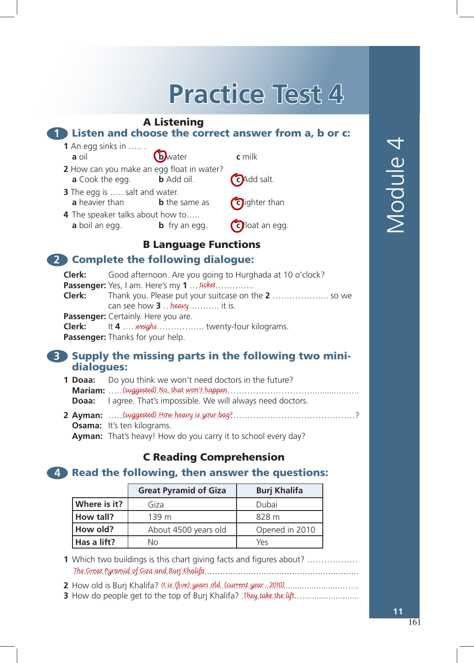# **Practice Test 4Practice Test 4Practice Test 4**

### A Listening

#### **1** Listen and choose the correct answer from a, b or c: . and a model of the co<br>inks in

- **1** An egg sinks in  $\dots$ . **a** oil **b b b c** milk **1** An egg sinks in ….. . **1** Air egg sinks in  $\ldots$  **6** Muster **c** milk  $2$  How can vou make a
	-
	- **2** How can you make an egg float in water? **a** Cook the egg. **b** Add oil. **c** Add salt. a own can you make an egg noat in water? **2** How can you make an egg float in water.
	- **3** The egg is ….. salt and water. **a** heavier than **b** the same as **c** dighter than **a** Cook the egg. **b** Add salt and water. **2** The egg is a state water
	- **4** The speaker talks about how to….. **a** boil an egg. **b** fry an egg. **c** float an egg. **3** The end of the end water. **a** heavier than **b** the same as **c** lighter than **b** the same as **c** lighter than **b** that  $\mathbf{c}$  is the same of  $\mathbf{c}$ **4** The speaker talks about how to….. **1** The speaker talks about how t



### B Language Functions **a** boil an egg. **b** fry an egg. **c** float an egg. **a** boil an egg. **b** fry an egg. **c** float an egg. **4** The speaker talks about how to…..

# **2** Complete the following dialogue:

| <b>Clerk:</b> | Good afternoon. Are you going to Hurghada at 10 o'clock? |
|---------------|----------------------------------------------------------|
|               | <b>Passenger:</b> Yes, I am. Here's my 1  ticket         |
|               |                                                          |
|               | can see how $3$ heavy  it is.                            |
|               | Passenger: Certainly. Here you are.                      |
|               | <b>Clerk:</b> It 4  weighs  twenty-four kilograms.       |
|               | Passenger: Thanks for your help.                         |
|               |                                                          |

### **3** Supply the missing parts in the following two minidialogues: **3** Supply the missing parts in the following two mini-**3** Supply the missing parts in the following two mini-

- **1 Doaa:** Do you think we won't need doctors in the future? **Mariam:** ………………………………………………………………..............….. dialogues: (suggested) No, that won't happen. **Doaa:** I agree. That's impossible. We will always need doctors. 1 Doaa: **Mariam:** 2007. That suppossible. We will divide ticed doctors. **Doaa:** Lagree, That's impossible. We will always need doctors in the future?
- **2 Ayman:** ……(suggested) How heavy is your bag?…………………………………………? **Osama:** It's ten kilograms. **Ayman:** That's heavy! How do you carry it to school every day? *P***ymain** mats neary. How **Mariam:** ………………………………………………………………..............….. **Ayman:** (suggested) How heavy is your bag?<br>Call always in the doctors. **Ayman:** That's heavy! How do you carry it to school every day?

# **C Reading Comprehension**

# 4. Read the following, then answer the questions:

|              | <b>Great Pyramid of Giza</b> | <b>Burj Khalifa</b> |  |
|--------------|------------------------------|---------------------|--|
| Where is it? | Giza                         | Dubai               |  |
| How tall?    | 139 <sub>m</sub>             | 828 m               |  |
| How old?     | About 4500 years old         | Opened in 2010      |  |
| Has a lift?  | Nο                           | Ύρς                 |  |

**1** Which two buildings is this chart giving facts and figures about? ................. The Great Pyramid of Giza and Burj Khalifa

**3** How do people get to the top of Burj Khalifa? …...............……........................ **2** How old is Burj Khalifa? ……………….......................................................…… **1** Which two buildings is this chart giving facts and figures about? ……………… **2** How old is Burj Khalifa? It is (five) years old. (current year - 2010)

**3** How do people get to the top of Burj Khalifa? …...............……........................ **3** How do people get to the top of Burj Khalifa? …...............……........................ They take the lift.